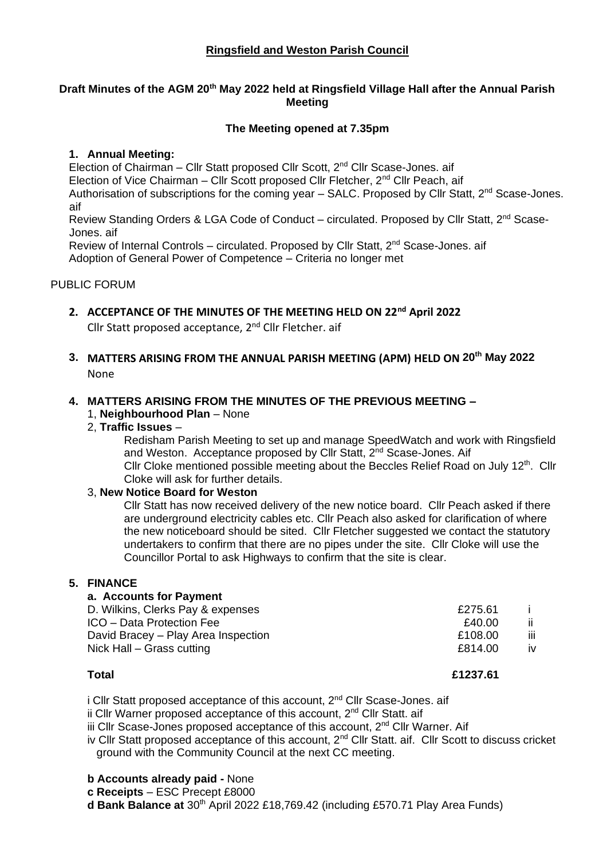# **Ringsfield and Weston Parish Council**

### **Draft Minutes of the AGM 20th May 2022 held at Ringsfield Village Hall after the Annual Parish Meeting**

### **The Meeting opened at 7.35pm**

### **1. Annual Meeting:**

Election of Chairman – Cllr Statt proposed Cllr Scott, 2<sup>nd</sup> Cllr Scase-Jones, aif Election of Vice Chairman – Cllr Scott proposed Cllr Fletcher, 2nd Cllr Peach, aif Authorisation of subscriptions for the coming year  $-$  SALC. Proposed by Cllr Statt,  $2^{nd}$  Scase-Jones. aif Review Standing Orders & LGA Code of Conduct – circulated. Proposed by Cllr Statt, 2<sup>nd</sup> Scase-

Jones. aif

Review of Internal Controls – circulated. Proposed by Cllr Statt,  $2^{nd}$  Scase-Jones. aif Adoption of General Power of Competence – Criteria no longer met

### PUBLIC FORUM

- **2. ACCEPTANCE OF THE MINUTES OF THE MEETING HELD ON 22nd April 2022** Cllr Statt proposed acceptance, 2<sup>nd</sup> Cllr Fletcher. aif
- **3. MATTERS ARISING FROM THE ANNUAL PARISH MEETING (APM) HELD ON 20th May 2022** None

## **4. MATTERS ARISING FROM THE MINUTES OF THE PREVIOUS MEETING –**

- 1, **Neighbourhood Plan** None
- 2, **Traffic Issues** –

Redisham Parish Meeting to set up and manage SpeedWatch and work with Ringsfield and Weston. Acceptance proposed by Cllr Statt, 2<sup>nd</sup> Scase-Jones. Aif Cllr Cloke mentioned possible meeting about the Beccles Relief Road on July 12<sup>th</sup>. Cllr Cloke will ask for further details.

### 3, **New Notice Board for Weston**

Cllr Statt has now received delivery of the new notice board. Cllr Peach asked if there are underground electricity cables etc. Cllr Peach also asked for clarification of where the new noticeboard should be sited. Cllr Fletcher suggested we contact the statutory undertakers to confirm that there are no pipes under the site. Cllr Cloke will use the Councillor Portal to ask Highways to confirm that the site is clear.

### **5. FINANCE**

| a. Accounts for Payment             |         |            |
|-------------------------------------|---------|------------|
| D. Wilkins, Clerks Pay & expenses   | £275.61 |            |
| ICO - Data Protection Fee           | £40.00  | ii.        |
| David Bracey – Play Area Inspection | £108.00 | <b>iii</b> |
| Nick Hall – Grass cutting           | £814.00 | <b>iv</b>  |
|                                     |         |            |

**Total £1237.61**

i Cllr Statt proposed acceptance of this account,  $2^{nd}$  Cllr Scase-Jones, aif

ii Cllr Warner proposed acceptance of this account, 2<sup>nd</sup> Cllr Statt, aif

iii Cllr Scase-Jones proposed acceptance of this account, 2<sup>nd</sup> Cllr Warner. Aif

iv Cllr Statt proposed acceptance of this account, 2<sup>nd</sup> Cllr Statt. aif. Cllr Scott to discuss cricket ground with the Community Council at the next CC meeting.

**b Accounts already paid -** None

**c Receipts** – ESC Precept £8000

**d Bank Balance at** 30<sup>th</sup> April 2022 £18,769.42 (including £570.71 Play Area Funds)